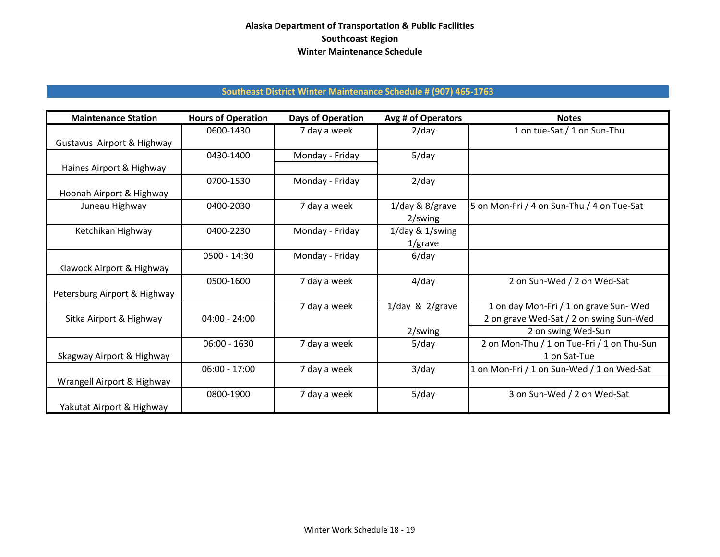## **Alaska Department of Transportation & Public Facilities Southcoast Region Winter Maintenance Schedule**

## **Southeast District Winter Maintenance Schedule # (907) 465‐1763**

| <b>Maintenance Station</b>   | <b>Hours of Operation</b> | <b>Days of Operation</b> | Avg # of Operators    | <b>Notes</b>                               |
|------------------------------|---------------------------|--------------------------|-----------------------|--------------------------------------------|
|                              | 0600-1430                 | 7 day a week             | $2$ /day              | 1 on tue-Sat / 1 on Sun-Thu                |
| Gustavus Airport & Highway   |                           |                          |                       |                                            |
|                              | 0430-1400                 | Monday - Friday          | $5$ /day              |                                            |
| Haines Airport & Highway     |                           |                          |                       |                                            |
|                              | 0700-1530                 | Monday - Friday          | $2$ /day              |                                            |
| Hoonah Airport & Highway     |                           |                          |                       |                                            |
| Juneau Highway               | 0400-2030                 | 7 day a week             | $1$ /day & 8/grave    | 5 on Mon-Fri / 4 on Sun-Thu / 4 on Tue-Sat |
|                              |                           |                          | 2/swing               |                                            |
| Ketchikan Highway            | 0400-2230                 | Monday - Friday          | 1/day & 1/swing       |                                            |
|                              |                           |                          | $1$ /grave            |                                            |
|                              | $0500 - 14:30$            | Monday - Friday          | $6$ /day              |                                            |
| Klawock Airport & Highway    |                           |                          |                       |                                            |
|                              | 0500-1600                 | 7 day a week             | $4$ /day              | 2 on Sun-Wed / 2 on Wed-Sat                |
| Petersburg Airport & Highway |                           |                          |                       |                                            |
|                              |                           | 7 day a week             | $1$ /day & $2$ /grave | 1 on day Mon-Fri / 1 on grave Sun-Wed      |
| Sitka Airport & Highway      | $04:00 - 24:00$           |                          |                       | 2 on grave Wed-Sat / 2 on swing Sun-Wed    |
|                              |                           |                          | 2/swing               | 2 on swing Wed-Sun                         |
|                              | $06:00 - 1630$            | 7 day a week             | $5$ /day              | 2 on Mon-Thu / 1 on Tue-Fri / 1 on Thu-Sun |
| Skagway Airport & Highway    |                           |                          |                       | 1 on Sat-Tue                               |
|                              | $06:00 - 17:00$           | 7 day a week             | $3$ /day              | 1 on Mon-Fri / 1 on Sun-Wed / 1 on Wed-Sat |
| Wrangell Airport & Highway   |                           |                          |                       |                                            |
|                              | 0800-1900                 | 7 day a week             | $5$ /day              | 3 on Sun-Wed / 2 on Wed-Sat                |
| Yakutat Airport & Highway    |                           |                          |                       |                                            |